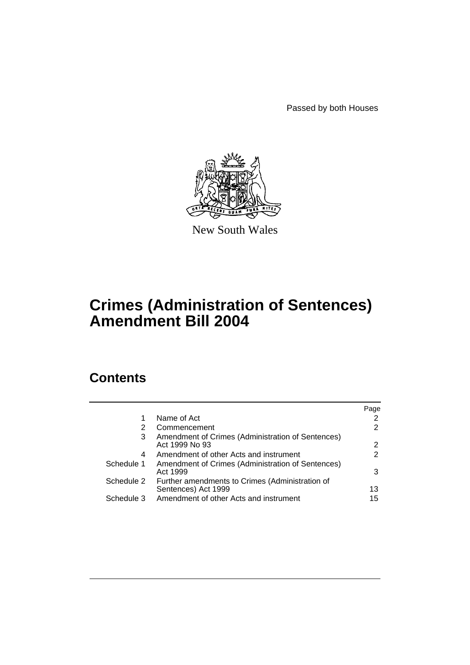Passed by both Houses



New South Wales

# **Crimes (Administration of Sentences) Amendment Bill 2004**

# **Contents**

|            |                                                                        | Page |
|------------|------------------------------------------------------------------------|------|
| 1          | Name of Act                                                            | 2    |
| 2          | Commencement                                                           | 2    |
| 3          | Amendment of Crimes (Administration of Sentences)<br>Act 1999 No 93    | 2    |
| 4          | Amendment of other Acts and instrument                                 | 2    |
| Schedule 1 | Amendment of Crimes (Administration of Sentences)<br>Act 1999          | 3    |
| Schedule 2 | Further amendments to Crimes (Administration of<br>Sentences) Act 1999 | 13   |
| Schedule 3 | Amendment of other Acts and instrument                                 | 15   |
|            |                                                                        |      |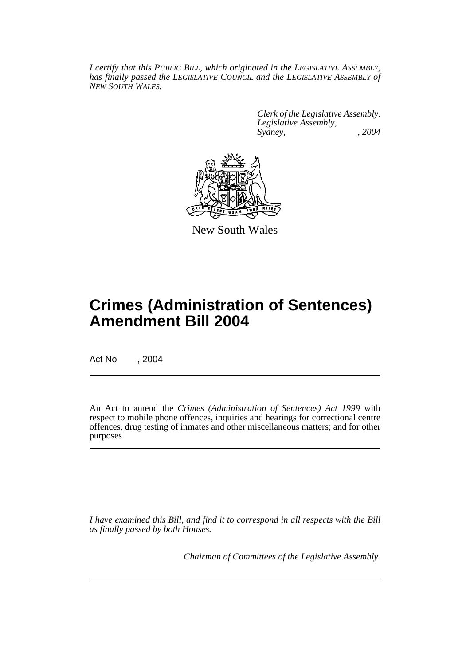*I certify that this PUBLIC BILL, which originated in the LEGISLATIVE ASSEMBLY, has finally passed the LEGISLATIVE COUNCIL and the LEGISLATIVE ASSEMBLY of NEW SOUTH WALES.*

> *Clerk of the Legislative Assembly. Legislative Assembly, Sydney, , 2004*



New South Wales

# **Crimes (Administration of Sentences) Amendment Bill 2004**

Act No , 2004

An Act to amend the *Crimes (Administration of Sentences) Act 1999* with respect to mobile phone offences, inquiries and hearings for correctional centre offences, drug testing of inmates and other miscellaneous matters; and for other purposes.

*I have examined this Bill, and find it to correspond in all respects with the Bill as finally passed by both Houses.*

*Chairman of Committees of the Legislative Assembly.*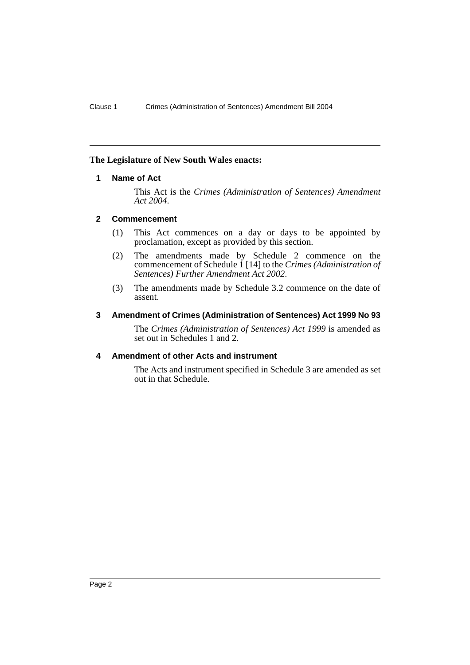# **The Legislature of New South Wales enacts:**

# **1 Name of Act**

This Act is the *Crimes (Administration of Sentences) Amendment Act 2004*.

# **2 Commencement**

- (1) This Act commences on a day or days to be appointed by proclamation, except as provided by this section.
- (2) The amendments made by Schedule 2 commence on the commencement of Schedule 1 [14] to the *Crimes (Administration of Sentences) Further Amendment Act 2002*.
- (3) The amendments made by Schedule 3.2 commence on the date of assent.

# **3 Amendment of Crimes (Administration of Sentences) Act 1999 No 93**

The *Crimes (Administration of Sentences) Act 1999* is amended as set out in Schedules 1 and 2.

# **4 Amendment of other Acts and instrument**

The Acts and instrument specified in Schedule 3 are amended as set out in that Schedule.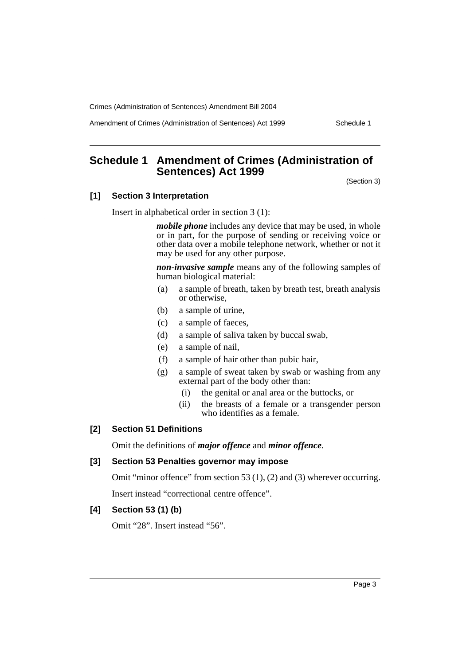Amendment of Crimes (Administration of Sentences) Act 1999 Schedule 1

# **Schedule 1 Amendment of Crimes (Administration of Sentences) Act 1999**

(Section 3)

# **[1] Section 3 Interpretation**

Insert in alphabetical order in section 3 (1):

*mobile phone* includes any device that may be used, in whole or in part, for the purpose of sending or receiving voice or other data over a mobile telephone network, whether or not it may be used for any other purpose.

*non-invasive sample* means any of the following samples of human biological material:

- (a) a sample of breath, taken by breath test, breath analysis or otherwise,
- (b) a sample of urine,
- (c) a sample of faeces,
- (d) a sample of saliva taken by buccal swab,
- (e) a sample of nail,
- (f) a sample of hair other than pubic hair,
- (g) a sample of sweat taken by swab or washing from any external part of the body other than:
	- (i) the genital or anal area or the buttocks, or
	- (ii) the breasts of a female or a transgender person who identifies as a female.

# **[2] Section 51 Definitions**

Omit the definitions of *major offence* and *minor offence*.

#### **[3] Section 53 Penalties governor may impose**

Omit "minor offence" from section 53 (1), (2) and (3) wherever occurring.

Insert instead "correctional centre offence".

#### **[4] Section 53 (1) (b)**

Omit "28". Insert instead "56".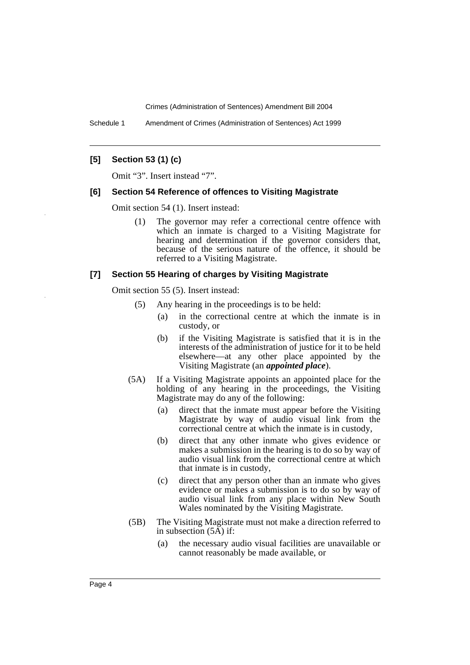Schedule 1 Amendment of Crimes (Administration of Sentences) Act 1999

### **[5] Section 53 (1) (c)**

Omit "3". Insert instead "7".

# **[6] Section 54 Reference of offences to Visiting Magistrate**

Omit section 54 (1). Insert instead:

(1) The governor may refer a correctional centre offence with which an inmate is charged to a Visiting Magistrate for hearing and determination if the governor considers that, because of the serious nature of the offence, it should be referred to a Visiting Magistrate.

#### **[7] Section 55 Hearing of charges by Visiting Magistrate**

Omit section 55 (5). Insert instead:

- (5) Any hearing in the proceedings is to be held:
	- (a) in the correctional centre at which the inmate is in custody, or
	- (b) if the Visiting Magistrate is satisfied that it is in the interests of the administration of justice for it to be held elsewhere—at any other place appointed by the Visiting Magistrate (an *appointed place*).
- (5A) If a Visiting Magistrate appoints an appointed place for the holding of any hearing in the proceedings, the Visiting Magistrate may do any of the following:
	- (a) direct that the inmate must appear before the Visiting Magistrate by way of audio visual link from the correctional centre at which the inmate is in custody,
	- (b) direct that any other inmate who gives evidence or makes a submission in the hearing is to do so by way of audio visual link from the correctional centre at which that inmate is in custody,
	- (c) direct that any person other than an inmate who gives evidence or makes a submission is to do so by way of audio visual link from any place within New South Wales nominated by the Visiting Magistrate.
- (5B) The Visiting Magistrate must not make a direction referred to in subsection (5A) if:
	- (a) the necessary audio visual facilities are unavailable or cannot reasonably be made available, or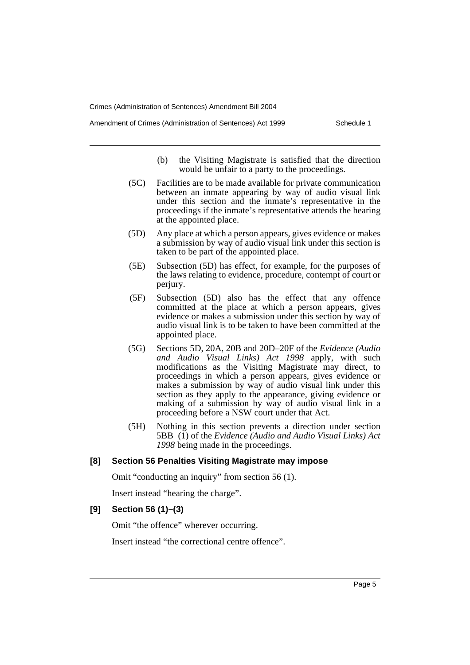Amendment of Crimes (Administration of Sentences) Act 1999 Schedule 1

- (b) the Visiting Magistrate is satisfied that the direction would be unfair to a party to the proceedings.
- (5C) Facilities are to be made available for private communication between an inmate appearing by way of audio visual link under this section and the inmate's representative in the proceedings if the inmate's representative attends the hearing at the appointed place.
- (5D) Any place at which a person appears, gives evidence or makes a submission by way of audio visual link under this section is taken to be part of the appointed place.
- (5E) Subsection (5D) has effect, for example, for the purposes of the laws relating to evidence, procedure, contempt of court or perjury.
- (5F) Subsection (5D) also has the effect that any offence committed at the place at which a person appears, gives evidence or makes a submission under this section by way of audio visual link is to be taken to have been committed at the appointed place.
- (5G) Sections 5D, 20A, 20B and 20D–20F of the *Evidence (Audio and Audio Visual Links) Act 1998* apply, with such modifications as the Visiting Magistrate may direct, to proceedings in which a person appears, gives evidence or makes a submission by way of audio visual link under this section as they apply to the appearance, giving evidence or making of a submission by way of audio visual link in a proceeding before a NSW court under that Act.
- (5H) Nothing in this section prevents a direction under section 5BB (1) of the *Evidence (Audio and Audio Visual Links) Act 1998* being made in the proceedings.

# **[8] Section 56 Penalties Visiting Magistrate may impose**

Omit "conducting an inquiry" from section 56 (1).

Insert instead "hearing the charge".

#### **[9] Section 56 (1)–(3)**

Omit "the offence" wherever occurring.

Insert instead "the correctional centre offence".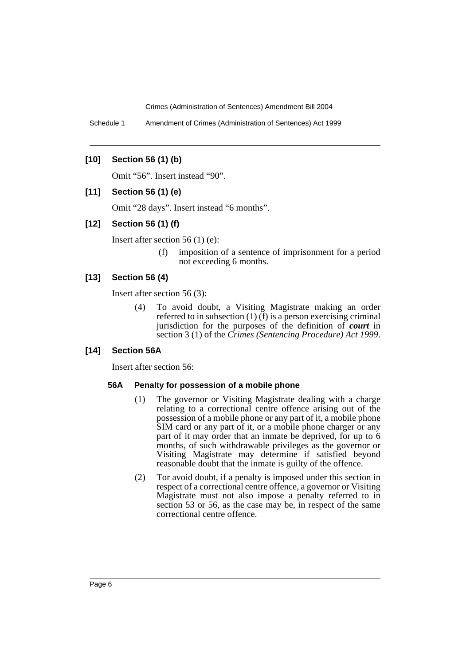Schedule 1 Amendment of Crimes (Administration of Sentences) Act 1999

# **[10] Section 56 (1) (b)**

Omit "56". Insert instead "90".

# **[11] Section 56 (1) (e)**

Omit "28 days". Insert instead "6 months".

#### **[12] Section 56 (1) (f)**

Insert after section 56 (1) (e):

(f) imposition of a sentence of imprisonment for a period not exceeding 6 months.

# **[13] Section 56 (4)**

Insert after section 56 (3):

(4) To avoid doubt, a Visiting Magistrate making an order referred to in subsection  $(1)$   $(f)$  is a person exercising criminal jurisdiction for the purposes of the definition of *court* in section 3 (1) of the *Crimes (Sentencing Procedure) Act 1999*.

#### **[14] Section 56A**

Insert after section 56:

#### **56A Penalty for possession of a mobile phone**

- (1) The governor or Visiting Magistrate dealing with a charge relating to a correctional centre offence arising out of the possession of a mobile phone or any part of it, a mobile phone SIM card or any part of it, or a mobile phone charger or any part of it may order that an inmate be deprived, for up to 6 months, of such withdrawable privileges as the governor or Visiting Magistrate may determine if satisfied beyond reasonable doubt that the inmate is guilty of the offence.
- (2) Tor avoid doubt, if a penalty is imposed under this section in respect of a correctional centre offence, a governor or Visiting Magistrate must not also impose a penalty referred to in section 53 or 56, as the case may be, in respect of the same correctional centre offence.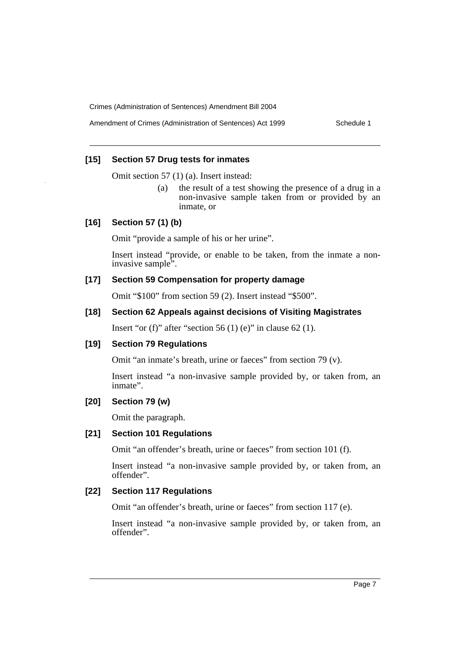# **[15] Section 57 Drug tests for inmates**

Omit section 57 (1) (a). Insert instead:

(a) the result of a test showing the presence of a drug in a non-invasive sample taken from or provided by an inmate, or

#### **[16] Section 57 (1) (b)**

Omit "provide a sample of his or her urine".

Insert instead "provide, or enable to be taken, from the inmate a noninvasive sample<sup>5</sup>.

# **[17] Section 59 Compensation for property damage**

Omit "\$100" from section 59 (2). Insert instead "\$500".

# **[18] Section 62 Appeals against decisions of Visiting Magistrates**

Insert "or (f)" after "section 56 (1) (e)" in clause 62 (1).

#### **[19] Section 79 Regulations**

Omit "an inmate's breath, urine or faeces" from section 79 (v).

Insert instead "a non-invasive sample provided by, or taken from, an inmate".

# **[20] Section 79 (w)**

Omit the paragraph.

# **[21] Section 101 Regulations**

Omit "an offender's breath, urine or faeces" from section 101 (f).

Insert instead "a non-invasive sample provided by, or taken from, an offender".

# **[22] Section 117 Regulations**

Omit "an offender's breath, urine or faeces" from section 117 (e).

Insert instead "a non-invasive sample provided by, or taken from, an offender".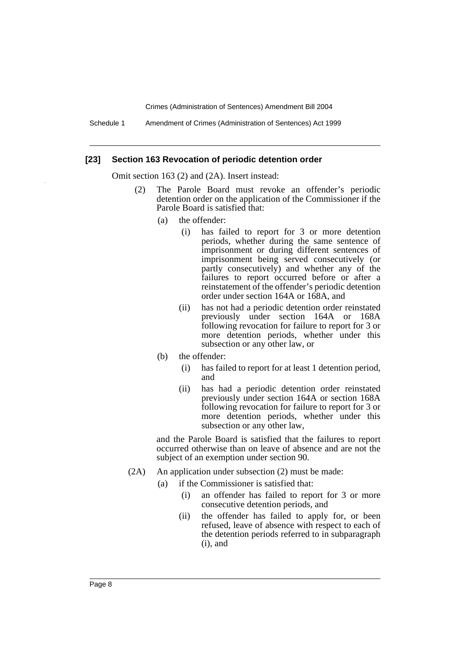Schedule 1 Amendment of Crimes (Administration of Sentences) Act 1999

#### **[23] Section 163 Revocation of periodic detention order**

Omit section 163 (2) and (2A). Insert instead:

- (2) The Parole Board must revoke an offender's periodic detention order on the application of the Commissioner if the Parole Board is satisfied that:
	- (a) the offender:
		- (i) has failed to report for 3 or more detention periods, whether during the same sentence of imprisonment or during different sentences of imprisonment being served consecutively (or partly consecutively) and whether any of the failures to report occurred before or after a reinstatement of the offender's periodic detention order under section 164A or 168A, and
		- (ii) has not had a periodic detention order reinstated previously under section 164A or 168A following revocation for failure to report for 3 or more detention periods, whether under this subsection or any other law, or
	- (b) the offender:
		- (i) has failed to report for at least 1 detention period, and
		- (ii) has had a periodic detention order reinstated previously under section 164A or section 168A following revocation for failure to report for 3 or more detention periods, whether under this subsection or any other law,

and the Parole Board is satisfied that the failures to report occurred otherwise than on leave of absence and are not the subject of an exemption under section 90.

- (2A) An application under subsection (2) must be made:
	- (a) if the Commissioner is satisfied that:
		- (i) an offender has failed to report for 3 or more consecutive detention periods, and
		- (ii) the offender has failed to apply for, or been refused, leave of absence with respect to each of the detention periods referred to in subparagraph (i), and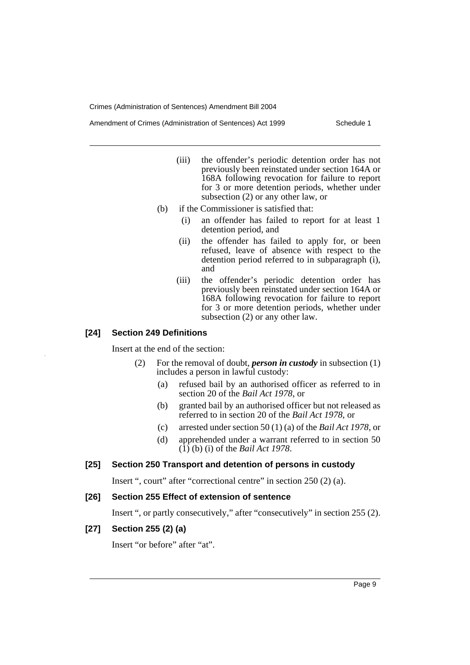- (iii) the offender's periodic detention order has not previously been reinstated under section 164A or 168A following revocation for failure to report for 3 or more detention periods, whether under subsection (2) or any other law, or
- (b) if the Commissioner is satisfied that:
	- (i) an offender has failed to report for at least 1 detention period, and
	- (ii) the offender has failed to apply for, or been refused, leave of absence with respect to the detention period referred to in subparagraph (i), and
	- (iii) the offender's periodic detention order has previously been reinstated under section 164A or 168A following revocation for failure to report for 3 or more detention periods, whether under subsection (2) or any other law.

#### **[24] Section 249 Definitions**

Insert at the end of the section:

- (2) For the removal of doubt, *person in custody* in subsection (1) includes a person in lawful custody:
	- (a) refused bail by an authorised officer as referred to in section 20 of the *Bail Act 1978*, or
	- (b) granted bail by an authorised officer but not released as referred to in section 20 of the *Bail Act 1978*, or
	- (c) arrested under section 50 (1) (a) of the *Bail Act 1978*, or
	- (d) apprehended under a warrant referred to in section 50 (1) (b) (i) of the *Bail Act 1978*.

# **[25] Section 250 Transport and detention of persons in custody**

Insert ", court" after "correctional centre" in section 250 (2) (a).

#### **[26] Section 255 Effect of extension of sentence**

Insert ", or partly consecutively," after "consecutively" in section 255 (2).

# **[27] Section 255 (2) (a)**

Insert "or before" after "at".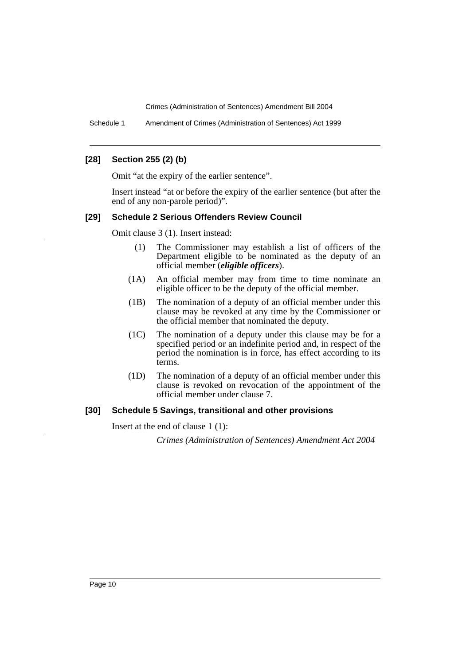Schedule 1 Amendment of Crimes (Administration of Sentences) Act 1999

### **[28] Section 255 (2) (b)**

Omit "at the expiry of the earlier sentence".

Insert instead "at or before the expiry of the earlier sentence (but after the end of any non-parole period)".

#### **[29] Schedule 2 Serious Offenders Review Council**

Omit clause 3 (1). Insert instead:

- (1) The Commissioner may establish a list of officers of the Department eligible to be nominated as the deputy of an official member (*eligible officers*).
- (1A) An official member may from time to time nominate an eligible officer to be the deputy of the official member.
- (1B) The nomination of a deputy of an official member under this clause may be revoked at any time by the Commissioner or the official member that nominated the deputy.
- (1C) The nomination of a deputy under this clause may be for a specified period or an indefinite period and, in respect of the period the nomination is in force, has effect according to its terms.
- (1D) The nomination of a deputy of an official member under this clause is revoked on revocation of the appointment of the official member under clause 7.

#### **[30] Schedule 5 Savings, transitional and other provisions**

Insert at the end of clause 1 (1):

*Crimes (Administration of Sentences) Amendment Act 2004*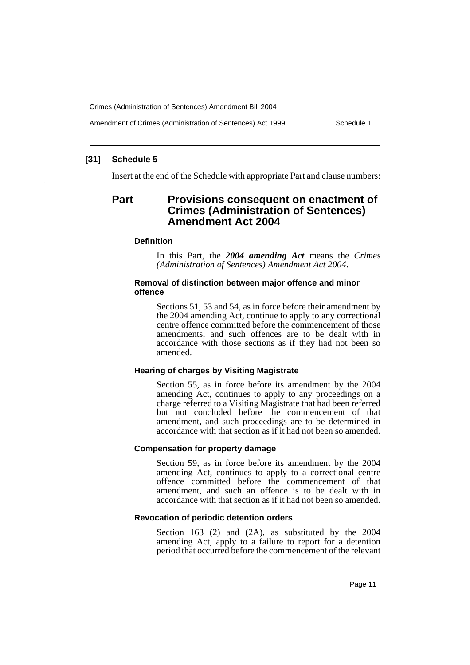Amendment of Crimes (Administration of Sentences) Act 1999 Schedule 1

# **[31] Schedule 5**

Insert at the end of the Schedule with appropriate Part and clause numbers:

# **Part Provisions consequent on enactment of Crimes (Administration of Sentences) Amendment Act 2004**

#### **Definition**

In this Part, the *2004 amending Act* means the *Crimes (Administration of Sentences) Amendment Act 2004*.

#### **Removal of distinction between major offence and minor offence**

Sections 51, 53 and 54, as in force before their amendment by the 2004 amending Act, continue to apply to any correctional centre offence committed before the commencement of those amendments, and such offences are to be dealt with in accordance with those sections as if they had not been so amended.

#### **Hearing of charges by Visiting Magistrate**

Section 55, as in force before its amendment by the 2004 amending Act, continues to apply to any proceedings on a charge referred to a Visiting Magistrate that had been referred but not concluded before the commencement of that amendment, and such proceedings are to be determined in accordance with that section as if it had not been so amended.

# **Compensation for property damage**

Section 59, as in force before its amendment by the 2004 amending Act, continues to apply to a correctional centre offence committed before the commencement of that amendment, and such an offence is to be dealt with in accordance with that section as if it had not been so amended.

#### **Revocation of periodic detention orders**

Section 163 (2) and (2A), as substituted by the 2004 amending Act, apply to a failure to report for a detention period that occurred before the commencement of the relevant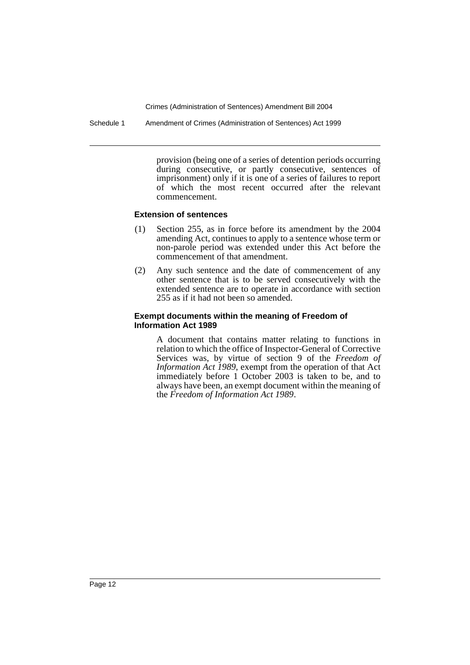Schedule 1 Amendment of Crimes (Administration of Sentences) Act 1999

provision (being one of a series of detention periods occurring during consecutive, or partly consecutive, sentences of imprisonment) only if it is one of a series of failures to report of which the most recent occurred after the relevant commencement.

# **Extension of sentences**

- (1) Section 255, as in force before its amendment by the 2004 amending Act, continues to apply to a sentence whose term or non-parole period was extended under this Act before the commencement of that amendment.
- (2) Any such sentence and the date of commencement of any other sentence that is to be served consecutively with the extended sentence are to operate in accordance with section 255 as if it had not been so amended.

#### **Exempt documents within the meaning of Freedom of Information Act 1989**

A document that contains matter relating to functions in relation to which the office of Inspector-General of Corrective Services was, by virtue of section 9 of the *Freedom of Information Act 1989*, exempt from the operation of that Act immediately before 1 October 2003 is taken to be, and to always have been, an exempt document within the meaning of the *Freedom of Information Act 1989*.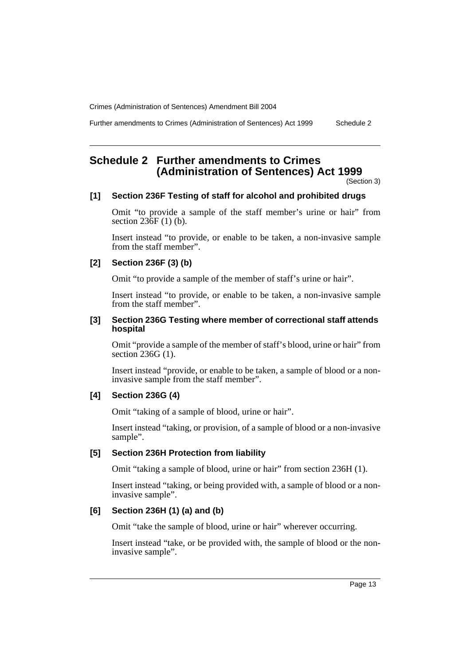Further amendments to Crimes (Administration of Sentences) Act 1999 Schedule 2

# **Schedule 2 Further amendments to Crimes (Administration of Sentences) Act 1999**

(Section 3)

# **[1] Section 236F Testing of staff for alcohol and prohibited drugs**

Omit "to provide a sample of the staff member's urine or hair" from section  $236F(1)$  (b).

Insert instead "to provide, or enable to be taken, a non-invasive sample from the staff member".

# **[2] Section 236F (3) (b)**

Omit "to provide a sample of the member of staff's urine or hair".

Insert instead "to provide, or enable to be taken, a non-invasive sample from the staff member".

#### **[3] Section 236G Testing where member of correctional staff attends hospital**

Omit "provide a sample of the member of staff's blood, urine or hair" from section 236G (1).

Insert instead "provide, or enable to be taken, a sample of blood or a noninvasive sample from the staff member".

# **[4] Section 236G (4)**

Omit "taking of a sample of blood, urine or hair".

Insert instead "taking, or provision, of a sample of blood or a non-invasive sample".

# **[5] Section 236H Protection from liability**

Omit "taking a sample of blood, urine or hair" from section 236H (1).

Insert instead "taking, or being provided with, a sample of blood or a noninvasive sample".

# **[6] Section 236H (1) (a) and (b)**

Omit "take the sample of blood, urine or hair" wherever occurring.

Insert instead "take, or be provided with, the sample of blood or the noninvasive sample".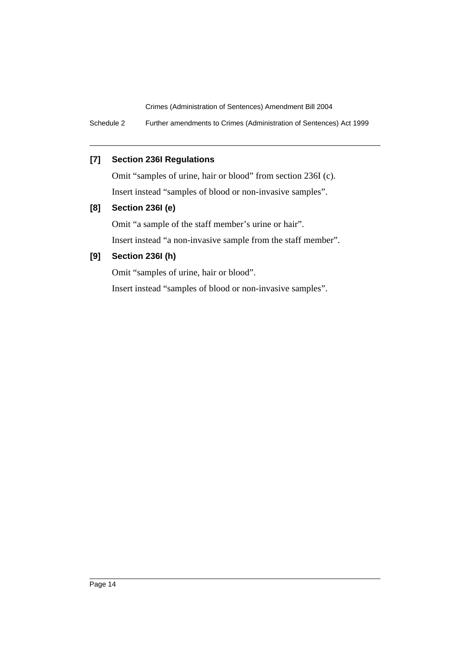Schedule 2 Further amendments to Crimes (Administration of Sentences) Act 1999

# **[7] Section 236I Regulations**

Omit "samples of urine, hair or blood" from section 236I (c). Insert instead "samples of blood or non-invasive samples".

# **[8] Section 236I (e)**

Omit "a sample of the staff member's urine or hair".

Insert instead "a non-invasive sample from the staff member".

# **[9] Section 236I (h)**

Omit "samples of urine, hair or blood".

Insert instead "samples of blood or non-invasive samples".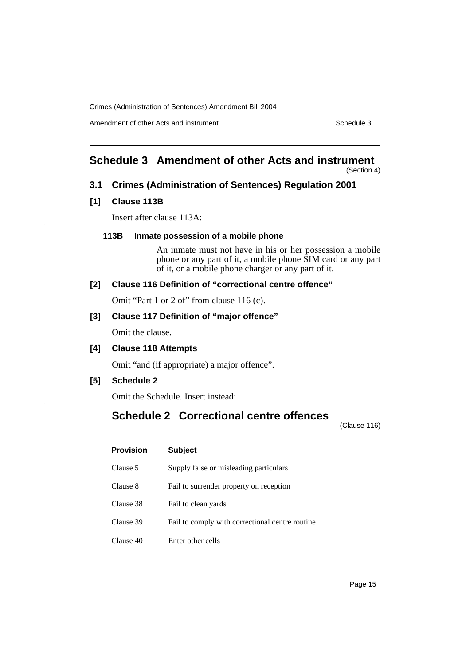Amendment of other Acts and instrument Schedule 3

# **Schedule 3 Amendment of other Acts and instrument**

(Section 4)

# **3.1 Crimes (Administration of Sentences) Regulation 2001**

# **[1] Clause 113B**

Insert after clause 113A:

# **113B Inmate possession of a mobile phone**

An inmate must not have in his or her possession a mobile phone or any part of it, a mobile phone SIM card or any part of it, or a mobile phone charger or any part of it.

# **[2] Clause 116 Definition of "correctional centre offence"**

Omit "Part 1 or 2 of" from clause 116 (c).

# **[3] Clause 117 Definition of "major offence"**

Omit the clause.

# **[4] Clause 118 Attempts**

Omit "and (if appropriate) a major offence".

**[5] Schedule 2**

Omit the Schedule. Insert instead:

# **Schedule 2 Correctional centre offences**

(Clause 116)

| <b>Provision</b> | <b>Subject</b>                                  |
|------------------|-------------------------------------------------|
| Clause 5         | Supply false or misleading particulars          |
| Clause 8         | Fail to surrender property on reception         |
| Clause 38        | Fail to clean yards                             |
| Clause 39        | Fail to comply with correctional centre routine |
| Clause 40        | Enter other cells                               |
|                  |                                                 |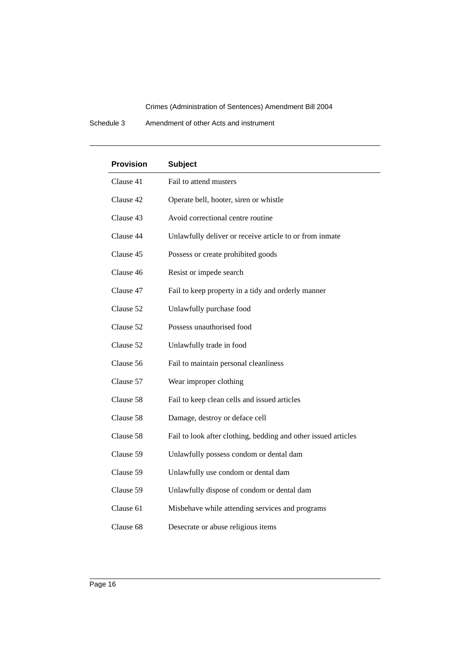Schedule 3 Amendment of other Acts and instrument

| <b>Provision</b> | <b>Subject</b>                                                 |
|------------------|----------------------------------------------------------------|
| Clause 41        | Fail to attend musters                                         |
| Clause 42        | Operate bell, hooter, siren or whistle                         |
| Clause 43        | Avoid correctional centre routine                              |
| Clause 44        | Unlawfully deliver or receive article to or from inmate        |
| Clause 45        | Possess or create prohibited goods                             |
| Clause 46        | Resist or impede search                                        |
| Clause 47        | Fail to keep property in a tidy and orderly manner             |
| Clause 52        | Unlawfully purchase food                                       |
| Clause 52        | Possess unauthorised food                                      |
| Clause 52        | Unlawfully trade in food                                       |
| Clause 56        | Fail to maintain personal cleanliness                          |
| Clause 57        | Wear improper clothing                                         |
| Clause 58        | Fail to keep clean cells and issued articles                   |
| Clause 58        | Damage, destroy or deface cell                                 |
| Clause 58        | Fail to look after clothing, bedding and other issued articles |
| Clause 59        | Unlawfully possess condom or dental dam                        |
| Clause 59        | Unlawfully use condom or dental dam                            |
| Clause 59        | Unlawfully dispose of condom or dental dam                     |
| Clause 61        | Misbehave while attending services and programs                |
| Clause 68        | Desecrate or abuse religious items                             |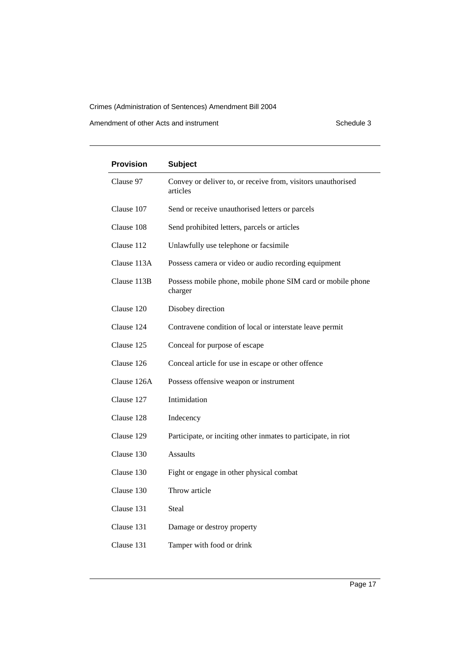Amendment of other Acts and instrument Schedule 3

| <b>Provision</b> | <b>Subject</b>                                                           |
|------------------|--------------------------------------------------------------------------|
| Clause 97        | Convey or deliver to, or receive from, visitors unauthorised<br>articles |
| Clause 107       | Send or receive unauthorised letters or parcels                          |
| Clause 108       | Send prohibited letters, parcels or articles                             |
| Clause 112       | Unlawfully use telephone or facsimile                                    |
| Clause 113A      | Possess camera or video or audio recording equipment                     |
| Clause 113B      | Possess mobile phone, mobile phone SIM card or mobile phone<br>charger   |
| Clause 120       | Disobey direction                                                        |
| Clause 124       | Contravene condition of local or interstate leave permit                 |
| Clause 125       | Conceal for purpose of escape                                            |
| Clause 126       | Conceal article for use in escape or other offence                       |
| Clause 126A      | Possess offensive weapon or instrument                                   |
| Clause 127       | Intimidation                                                             |
| Clause 128       | Indecency                                                                |
| Clause 129       | Participate, or inciting other inmates to participate, in riot           |
| Clause 130       | <b>Assaults</b>                                                          |
| Clause 130       | Fight or engage in other physical combat                                 |
| Clause 130       | Throw article                                                            |
| Clause 131       | Steal                                                                    |
| Clause 131       | Damage or destroy property                                               |
| Clause 131       | Tamper with food or drink                                                |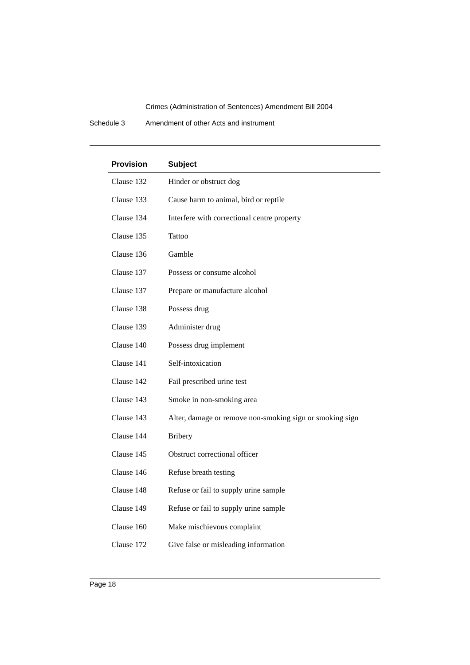Schedule 3 Amendment of other Acts and instrument

| <b>Provision</b> | <b>Subject</b>                                           |
|------------------|----------------------------------------------------------|
| Clause 132       | Hinder or obstruct dog                                   |
| Clause 133       | Cause harm to animal, bird or reptile                    |
| Clause 134       | Interfere with correctional centre property              |
| Clause 135       | Tattoo                                                   |
| Clause 136       | Gamble                                                   |
| Clause 137       | Possess or consume alcohol                               |
| Clause 137       | Prepare or manufacture alcohol                           |
| Clause 138       | Possess drug                                             |
| Clause 139       | Administer drug                                          |
| Clause 140       | Possess drug implement                                   |
| Clause 141       | Self-intoxication                                        |
| Clause 142       | Fail prescribed urine test                               |
| Clause 143       | Smoke in non-smoking area                                |
| Clause 143       | Alter, damage or remove non-smoking sign or smoking sign |
| Clause 144       | <b>Bribery</b>                                           |
| Clause 145       | Obstruct correctional officer                            |
| Clause 146       | Refuse breath testing                                    |
| Clause 148       | Refuse or fail to supply urine sample                    |
| Clause 149       | Refuse or fail to supply urine sample                    |
| Clause 160       | Make mischievous complaint                               |
| Clause 172       | Give false or misleading information                     |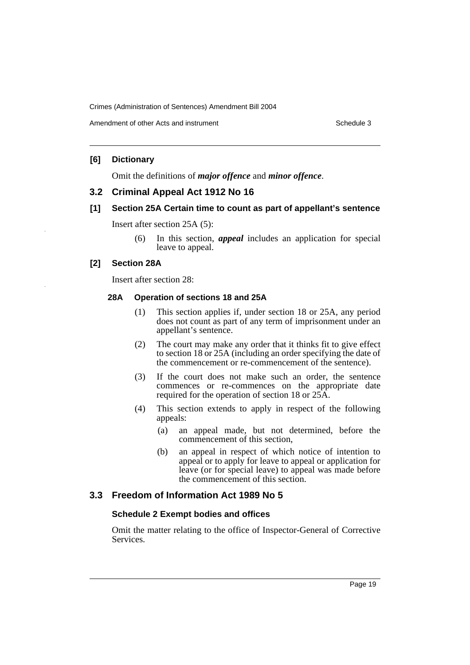# **[6] Dictionary**

Omit the definitions of *major offence* and *minor offence*.

# **3.2 Criminal Appeal Act 1912 No 16**

# **[1] Section 25A Certain time to count as part of appellant's sentence**

Insert after section 25A (5):

(6) In this section, *appeal* includes an application for special leave to appeal.

# **[2] Section 28A**

Insert after section 28:

#### **28A Operation of sections 18 and 25A**

- (1) This section applies if, under section 18 or 25A, any period does not count as part of any term of imprisonment under an appellant's sentence.
- (2) The court may make any order that it thinks fit to give effect to section 18 or 25A (including an order specifying the date of the commencement or re-commencement of the sentence).
- (3) If the court does not make such an order, the sentence commences or re-commences on the appropriate date required for the operation of section 18 or 25A.
- (4) This section extends to apply in respect of the following appeals:
	- (a) an appeal made, but not determined, before the commencement of this section,
	- (b) an appeal in respect of which notice of intention to appeal or to apply for leave to appeal or application for leave (or for special leave) to appeal was made before the commencement of this section.

# **3.3 Freedom of Information Act 1989 No 5**

# **Schedule 2 Exempt bodies and offices**

Omit the matter relating to the office of Inspector-General of Corrective Services.